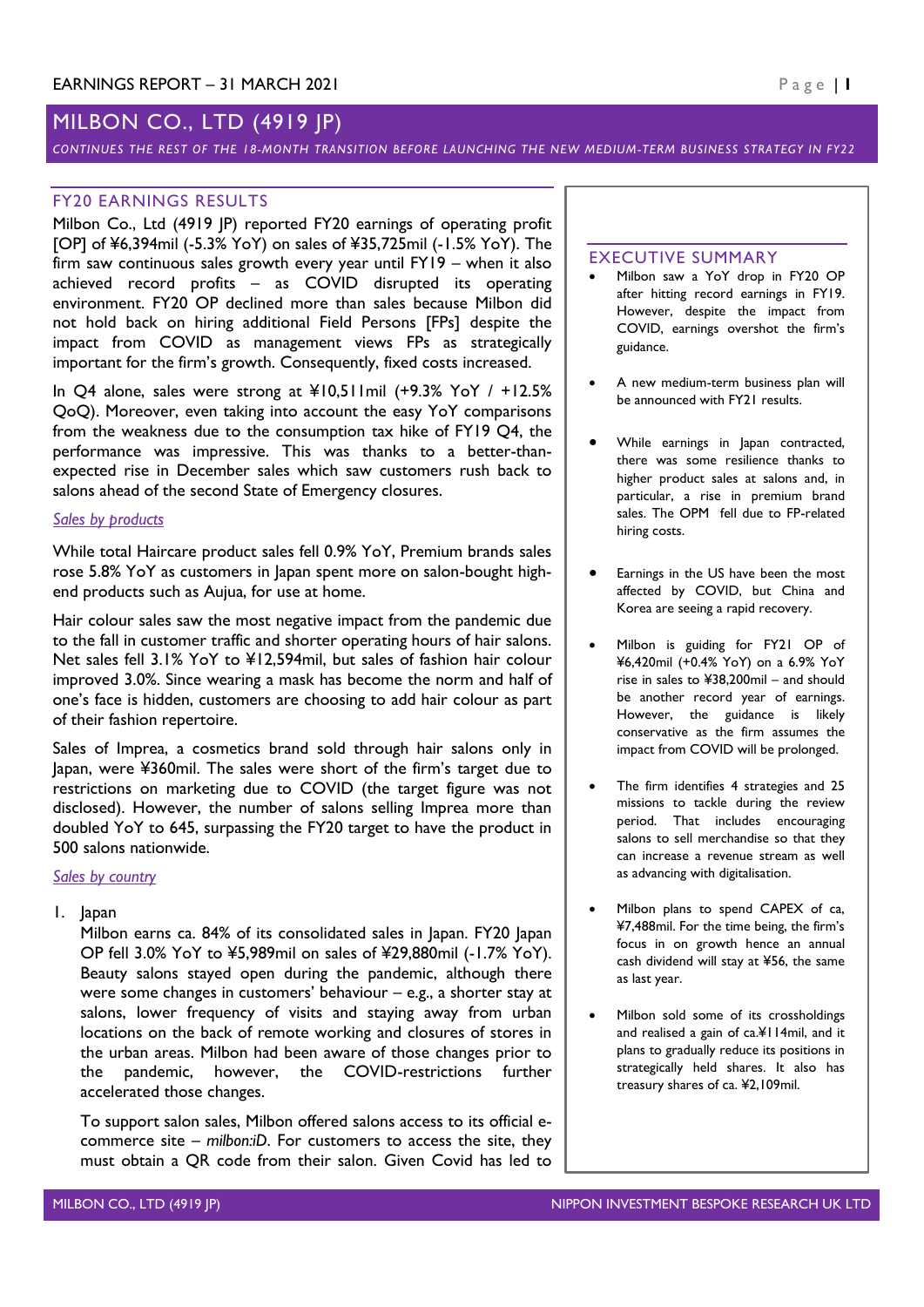# MILBON CO., LTD (4919 JP)

*CONTINUES THE REST OF THE 18-MONTH TRANSITION BEFORE LAUNCHING THE NEW MEDIUM-TERM BUSINESS STRATEGY IN FY22*

### FY20 EARNINGS RESULTS

Milbon Co., Ltd (4919 JP) reported FY20 earnings of operating profit [OP] of ¥6,394mil (-5.3% YoY) on sales of ¥35,725mil (-1.5% YoY). The firm saw continuous sales growth every year until FY19 – when it also achieved record profits – as COVID disrupted its operating environment. FY20 OP declined more than sales because Milbon did not hold back on hiring additional Field Persons [FPs] despite the impact from COVID as management views FPs as strategically important for the firm's growth. Consequently, fixed costs increased.

In Q4 alone, sales were strong at ¥10,511mil (+9.3% YoY / +12.5% QoQ). Moreover, even taking into account the easy YoY comparisons from the weakness due to the consumption tax hike of FY19 Q4, the performance was impressive. This was thanks to a better-thanexpected rise in December sales which saw customers rush back to salons ahead of the second State of Emergency closures.

#### *Sales by products*

While total Haircare product sales fell 0.9% YoY, Premium brands sales rose 5.8% YoY as customers in Japan spent more on salon-bought highend products such as Aujua, for use at home.

Hair colour sales saw the most negative impact from the pandemic due to the fall in customer traffic and shorter operating hours of hair salons. Net sales fell 3.1% YoY to ¥12,594mil, but sales of fashion hair colour improved 3.0%. Since wearing a mask has become the norm and half of one's face is hidden, customers are choosing to add hair colour as part of their fashion repertoire.

Sales of Imprea, a cosmetics brand sold through hair salons only in Japan, were ¥360mil. The sales were short of the firm's target due to restrictions on marketing due to COVID (the target figure was not disclosed). However, the number of salons selling Imprea more than doubled YoY to 645, surpassing the FY20 target to have the product in 500 salons nationwide.

#### *Sales by country*

1. Japan

Milbon earns ca. 84% of its consolidated sales in Japan. FY20 Japan OP fell 3.0% YoY to ¥5,989mil on sales of ¥29,880mil (-1.7% YoY). Beauty salons stayed open during the pandemic, although there were some changes in customers' behaviour – e.g., a shorter stay at salons, lower frequency of visits and staying away from urban locations on the back of remote working and closures of stores in the urban areas. Milbon had been aware of those changes prior to the pandemic, however, the COVID-restrictions further accelerated those changes.

To support salon sales, Milbon offered salons access to its official ecommerce site – *milbon:iD*. For customers to access the site, they must obtain a QR code from their salon. Given Covid has led to

#### EXECUTIVE SUMMARY

- Milbon saw a YoY drop in FY20 OP after hitting record earnings in FY19. However, despite the impact from COVID, earnings overshot the firm's guidance.
- A new medium-term business plan will be announced with FY21 results.
- While earnings in Japan contracted, there was some resilience thanks to higher product sales at salons and, in particular, a rise in premium brand sales. The OPM fell due to FP-related hiring costs.
- Earnings in the US have been the most affected by COVID, but China and Korea are seeing a rapid recovery.
- Milbon is guiding for FY21 OP of ¥6,420mil (+0.4% YoY) on a 6.9% YoY rise in sales to ¥38,200mil – and should be another record year of earnings. However, the guidance is likely conservative as the firm assumes the impact from COVID will be prolonged.
- The firm identifies 4 strategies and 25 missions to tackle during the review period. That includes encouraging salons to sell merchandise so that they can increase a revenue stream as well as advancing with digitalisation.
- Milbon plans to spend CAPEX of ca, ¥7,488mil. For the time being, the firm's focus in on growth hence an annual cash dividend will stay at ¥56, the same as last year.
- Milbon sold some of its crossholdings and realised a gain of ca.¥114mil, and it plans to gradually reduce its positions in strategically held shares. It also has treasury shares of ca. ¥2,109mil.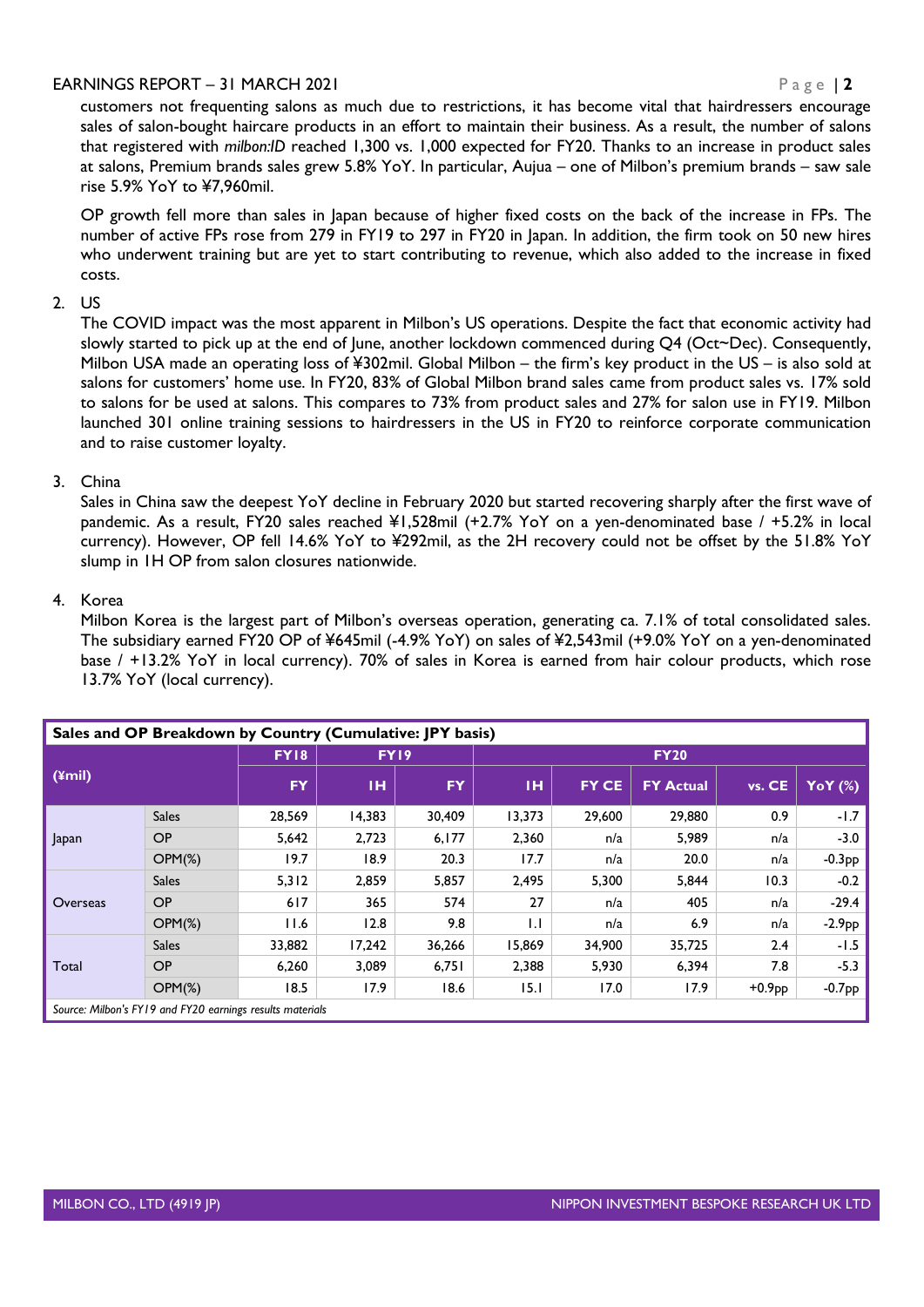customers not frequenting salons as much due to restrictions, it has become vital that hairdressers encourage sales of salon-bought haircare products in an effort to maintain their business. As a result, the number of salons that registered with *milbon:ID* reached 1,300 vs. 1,000 expected for FY20. Thanks to an increase in product sales at salons, Premium brands sales grew 5.8% YoY. In particular, Aujua – one of Milbon's premium brands – saw sale rise 5.9% YoY to ¥7,960mil.

OP growth fell more than sales in Japan because of higher fixed costs on the back of the increase in FPs. The number of active FPs rose from 279 in FY19 to 297 in FY20 in Japan. In addition, the firm took on 50 new hires who underwent training but are yet to start contributing to revenue, which also added to the increase in fixed costs.

### 2. US

The COVID impact was the most apparent in Milbon's US operations. Despite the fact that economic activity had slowly started to pick up at the end of June, another lockdown commenced during Q4 (Oct~Dec). Consequently, Milbon USA made an operating loss of ¥302mil. Global Milbon – the firm's key product in the US – is also sold at salons for customers' home use. In FY20, 83% of Global Milbon brand sales came from product sales vs. 17% sold to salons for be used at salons. This compares to 73% from product sales and 27% for salon use in FY19. Milbon launched 301 online training sessions to hairdressers in the US in FY20 to reinforce corporate communication and to raise customer loyalty.

### 3. China

Sales in China saw the deepest YoY decline in February 2020 but started recovering sharply after the first wave of pandemic. As a result, FY20 sales reached ¥1,528mil (+2.7% YoY on a yen-denominated base / +5.2% in local currency). However, OP fell 14.6% YoY to ¥292mil, as the 2H recovery could not be offset by the 51.8% YoY slump in 1H OP from salon closures nationwide.

### 4. Korea

Milbon Korea is the largest part of Milbon's overseas operation, generating ca. 7.1% of total consolidated sales. The subsidiary earned FY20 OP of ¥645mil (-4.9% YoY) on sales of ¥2,543mil (+9.0% YoY on a yen-denominated base / +13.2% YoY in local currency). 70% of sales in Korea is earned from hair colour products, which rose 13.7% YoY (local currency).

| Sales and OP Breakdown by Country (Cumulative: JPY basis) |              |             |        |           |              |              |                  |          |                |  |  |  |
|-----------------------------------------------------------|--------------|-------------|--------|-----------|--------------|--------------|------------------|----------|----------------|--|--|--|
| $(4$ mil)                                                 |              | <b>FY18</b> | FY19   |           | <b>FY20</b>  |              |                  |          |                |  |  |  |
|                                                           |              | <b>FY</b>   | тн     | <b>FY</b> | тн           | <b>FY CE</b> | <b>FY Actual</b> | vs. CE   | <b>YoY</b> (%) |  |  |  |
|                                                           | <b>Sales</b> | 28,569      | 14,383 | 30,409    | 13,373       | 29,600       | 29,880           | 0.9      | $-1.7$         |  |  |  |
| Japan                                                     | OP           | 5,642       | 2,723  | 6,177     | 2,360        | n/a          | 5,989            | n/a      | $-3.0$         |  |  |  |
|                                                           | $OPM(\%)$    | 19.7        | 18.9   | 20.3      | 17.7         | n/a          | 20.0             | n/a      | $-0.3PP$       |  |  |  |
| Overseas                                                  | <b>Sales</b> | 5,312       | 2,859  | 5,857     | 2,495        | 5,300        | 5,844            | 10.3     | $-0.2$         |  |  |  |
|                                                           | <b>OP</b>    | 617         | 365    | 574       | 27           | n/a          | 405              | n/a      | $-29.4$        |  |  |  |
|                                                           | $OPM(\%)$    | 11.6        | 12.8   | 9.8       | $\mathbf{L}$ | n/a          | 6.9              | n/a      | $-2.9$ pp $'$  |  |  |  |
| Total                                                     | <b>Sales</b> | 33,882      | 17.242 | 36,266    | 15,869       | 34,900       | 35,725           | 2.4      | $-1.5$         |  |  |  |
|                                                           | OP           | 6,260       | 3,089  | 6,751     | 2,388        | 5,930        | 6,394            | 7.8      | $-5.3$         |  |  |  |
|                                                           | $OPM(\%)$    | 18.5        | 17.9   | 18.6      | 15.1         | 17.0         | 17.9             | $+0.9PP$ | $-0.7PP$       |  |  |  |
| Source: Milbon's FY19 and FY20 earnings results materials |              |             |        |           |              |              |                  |          |                |  |  |  |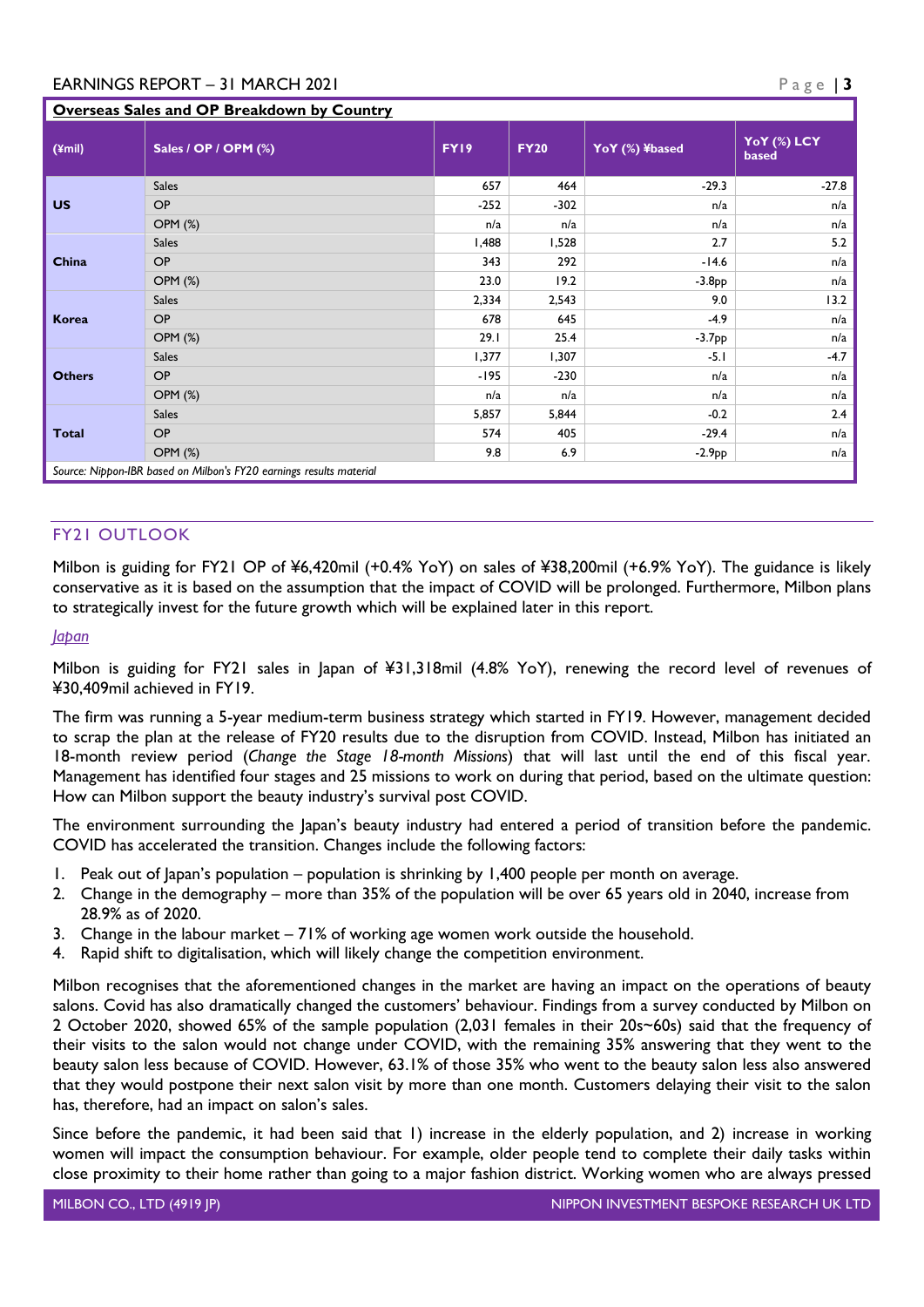## **Overseas Sales and OP Breakdown by Country**

| $(\text{y})$  | Sales / OP / OPM (%)                                                | FY19   | <b>FY20</b> | YoY (%) ¥based | YoY (%) LCY<br>based |  |  |  |  |  |
|---------------|---------------------------------------------------------------------|--------|-------------|----------------|----------------------|--|--|--|--|--|
|               | <b>Sales</b>                                                        | 657    | 464         | $-29.3$        | $-27.8$              |  |  |  |  |  |
| <b>US</b>     | OP                                                                  | $-252$ | $-302$      | n/a            | n/a                  |  |  |  |  |  |
|               | <b>OPM (%)</b>                                                      | n/a    | n/a         | n/a            | n/a                  |  |  |  |  |  |
|               | <b>Sales</b>                                                        | 1,488  | 1,528       | 2.7            | 5.2                  |  |  |  |  |  |
| China         | OP                                                                  | 343    | 292         | $-14.6$        | n/a                  |  |  |  |  |  |
|               | <b>OPM (%)</b>                                                      | 23.0   | 19.2        | $-3.8PP$       | n/a                  |  |  |  |  |  |
| <b>Korea</b>  | <b>Sales</b>                                                        | 2,334  | 2,543       | 9.0            | 13.2                 |  |  |  |  |  |
|               | OP                                                                  | 678    | 645         | $-4.9$         | n/a                  |  |  |  |  |  |
|               | <b>OPM (%)</b>                                                      | 29.1   | 25.4        | $-3.7PP$       | n/a                  |  |  |  |  |  |
| <b>Others</b> | <b>Sales</b>                                                        | 1,377  | 1,307       | $-5.1$         | $-4.7$               |  |  |  |  |  |
|               | OP                                                                  | -195   | $-230$      | n/a            | n/a                  |  |  |  |  |  |
|               | <b>OPM (%)</b>                                                      | n/a    | n/a         | n/a            | n/a                  |  |  |  |  |  |
| <b>Total</b>  | <b>Sales</b>                                                        | 5,857  | 5,844       | $-0.2$         | 2.4                  |  |  |  |  |  |
|               | OP                                                                  | 574    | 405         | $-29.4$        | n/a                  |  |  |  |  |  |
|               | <b>OPM (%)</b>                                                      | 9.8    | 6.9         | $-2.9PP$       | n/a                  |  |  |  |  |  |
|               | Source: Nippon-IBR based on Milbon's FY20 earnings results material |        |             |                |                      |  |  |  |  |  |

### FY21 OUTLOOK

Milbon is guiding for FY21 OP of ¥6,420mil (+0.4% YoY) on sales of ¥38,200mil (+6.9% YoY). The guidance is likely conservative as it is based on the assumption that the impact of COVID will be prolonged. Furthermore, Milbon plans to strategically invest for the future growth which will be explained later in this report.

#### *Japan*

Milbon is guiding for FY21 sales in Japan of ¥31,318mil (4.8% YoY), renewing the record level of revenues of ¥30,409mil achieved in FY19.

The firm was running a 5-year medium-term business strategy which started in FY19. However, management decided to scrap the plan at the release of FY20 results due to the disruption from COVID. Instead, Milbon has initiated an 18-month review period (*Change the Stage 18-month Missions*) that will last until the end of this fiscal year. Management has identified four stages and 25 missions to work on during that period, based on the ultimate question: How can Milbon support the beauty industry's survival post COVID.

The environment surrounding the Japan's beauty industry had entered a period of transition before the pandemic. COVID has accelerated the transition. Changes include the following factors:

- 1. Peak out of Japan's population population is shrinking by 1,400 people per month on average.
- 2. Change in the demography more than 35% of the population will be over 65 years old in 2040, increase from 28.9% as of 2020.
- 3. Change in the labour market 71% of working age women work outside the household.
- 4. Rapid shift to digitalisation, which will likely change the competition environment.

Milbon recognises that the aforementioned changes in the market are having an impact on the operations of beauty salons. Covid has also dramatically changed the customers' behaviour. Findings from a survey conducted by Milbon on 2 October 2020, showed 65% of the sample population (2,031 females in their 20s~60s) said that the frequency of their visits to the salon would not change under COVID, with the remaining 35% answering that they went to the beauty salon less because of COVID. However, 63.1% of those 35% who went to the beauty salon less also answered that they would postpone their next salon visit by more than one month. Customers delaying their visit to the salon has, therefore, had an impact on salon's sales.

Since before the pandemic, it had been said that 1) increase in the elderly population, and 2) increase in working women will impact the consumption behaviour. For example, older people tend to complete their daily tasks within close proximity to their home rather than going to a major fashion district. Working women who are always pressed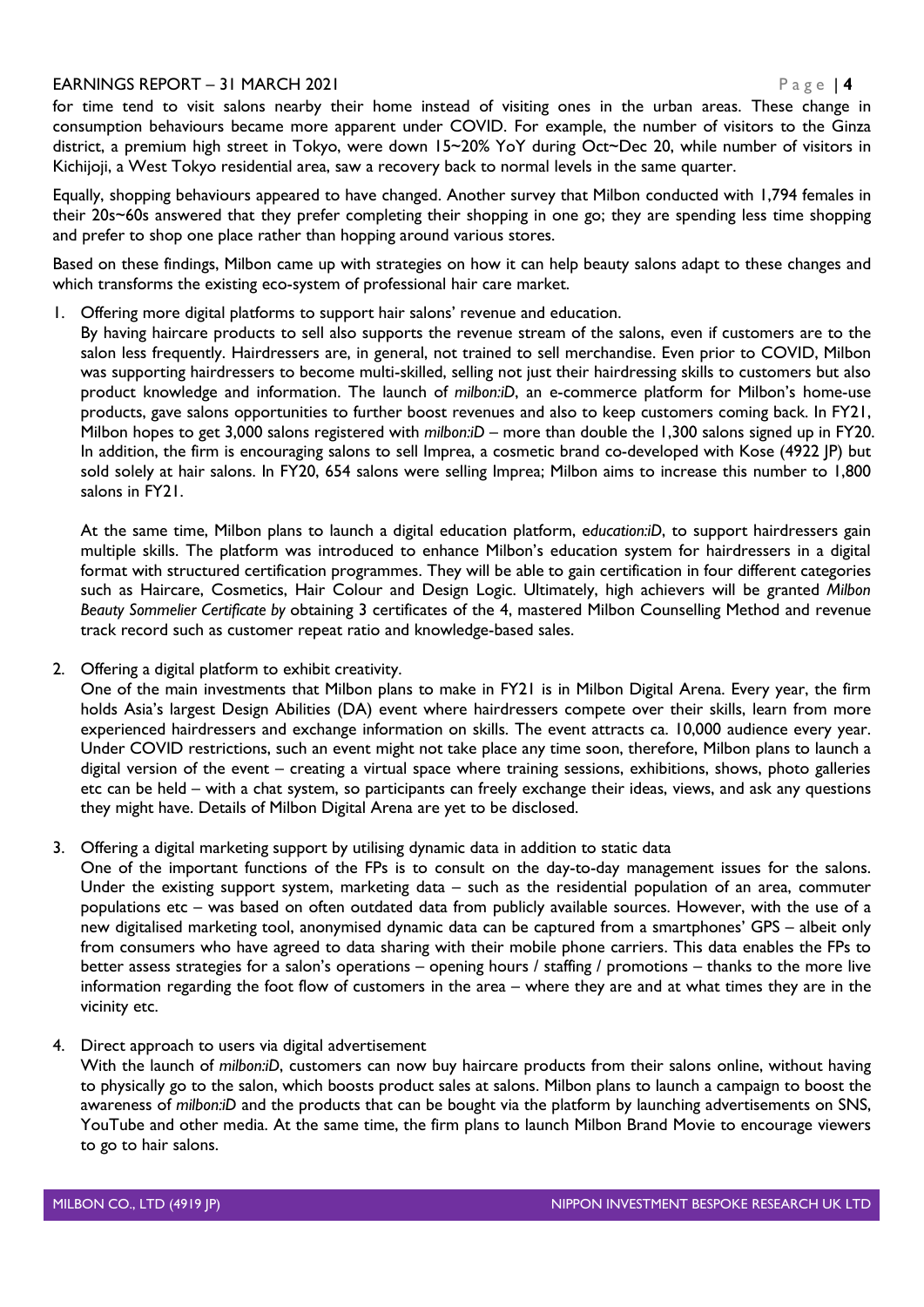for time tend to visit salons nearby their home instead of visiting ones in the urban areas. These change in consumption behaviours became more apparent under COVID. For example, the number of visitors to the Ginza district, a premium high street in Tokyo, were down 15~20% YoY during Oct~Dec 20, while number of visitors in Kichijoji, a West Tokyo residential area, saw a recovery back to normal levels in the same quarter.

Equally, shopping behaviours appeared to have changed. Another survey that Milbon conducted with 1,794 females in their 20s~60s answered that they prefer completing their shopping in one go; they are spending less time shopping and prefer to shop one place rather than hopping around various stores.

Based on these findings, Milbon came up with strategies on how it can help beauty salons adapt to these changes and which transforms the existing eco-system of professional hair care market.

1. Offering more digital platforms to support hair salons' revenue and education.

By having haircare products to sell also supports the revenue stream of the salons, even if customers are to the salon less frequently. Hairdressers are, in general, not trained to sell merchandise. Even prior to COVID, Milbon was supporting hairdressers to become multi-skilled, selling not just their hairdressing skills to customers but also product knowledge and information. The launch of *milbon:iD*, an e-commerce platform for Milbon's home-use products, gave salons opportunities to further boost revenues and also to keep customers coming back. In FY21, Milbon hopes to get 3,000 salons registered with *milbon:iD* – more than double the 1,300 salons signed up in FY20. In addition, the firm is encouraging salons to sell Imprea, a cosmetic brand co-developed with Kose (4922 JP) but sold solely at hair salons. In FY20, 654 salons were selling Imprea; Milbon aims to increase this number to 1,800 salons in FY21.

At the same time, Milbon plans to launch a digital education platform, e*ducation:iD*, to support hairdressers gain multiple skills. The platform was introduced to enhance Milbon's education system for hairdressers in a digital format with structured certification programmes. They will be able to gain certification in four different categories such as Haircare, Cosmetics, Hair Colour and Design Logic. Ultimately, high achievers will be granted *Milbon Beauty Sommelier Certificate by* obtaining 3 certificates of the 4, mastered Milbon Counselling Method and revenue track record such as customer repeat ratio and knowledge-based sales.

2. Offering a digital platform to exhibit creativity.

One of the main investments that Milbon plans to make in FY21 is in Milbon Digital Arena. Every year, the firm holds Asia's largest Design Abilities (DA) event where hairdressers compete over their skills, learn from more experienced hairdressers and exchange information on skills. The event attracts ca. 10,000 audience every year. Under COVID restrictions, such an event might not take place any time soon, therefore, Milbon plans to launch a digital version of the event – creating a virtual space where training sessions, exhibitions, shows, photo galleries etc can be held – with a chat system, so participants can freely exchange their ideas, views, and ask any questions they might have. Details of Milbon Digital Arena are yet to be disclosed.

3. Offering a digital marketing support by utilising dynamic data in addition to static data

One of the important functions of the FPs is to consult on the day-to-day management issues for the salons. Under the existing support system, marketing data – such as the residential population of an area, commuter populations etc – was based on often outdated data from publicly available sources. However, with the use of a new digitalised marketing tool, anonymised dynamic data can be captured from a smartphones' GPS – albeit only from consumers who have agreed to data sharing with their mobile phone carriers. This data enables the FPs to better assess strategies for a salon's operations – opening hours / staffing / promotions – thanks to the more live information regarding the foot flow of customers in the area – where they are and at what times they are in the vicinity etc.

4. Direct approach to users via digital advertisement

With the launch of *milbon:iD*, customers can now buy haircare products from their salons online, without having to physically go to the salon, which boosts product sales at salons. Milbon plans to launch a campaign to boost the awareness of *milbon:iD* and the products that can be bought via the platform by launching advertisements on SNS, YouTube and other media. At the same time, the firm plans to launch Milbon Brand Movie to encourage viewers to go to hair salons.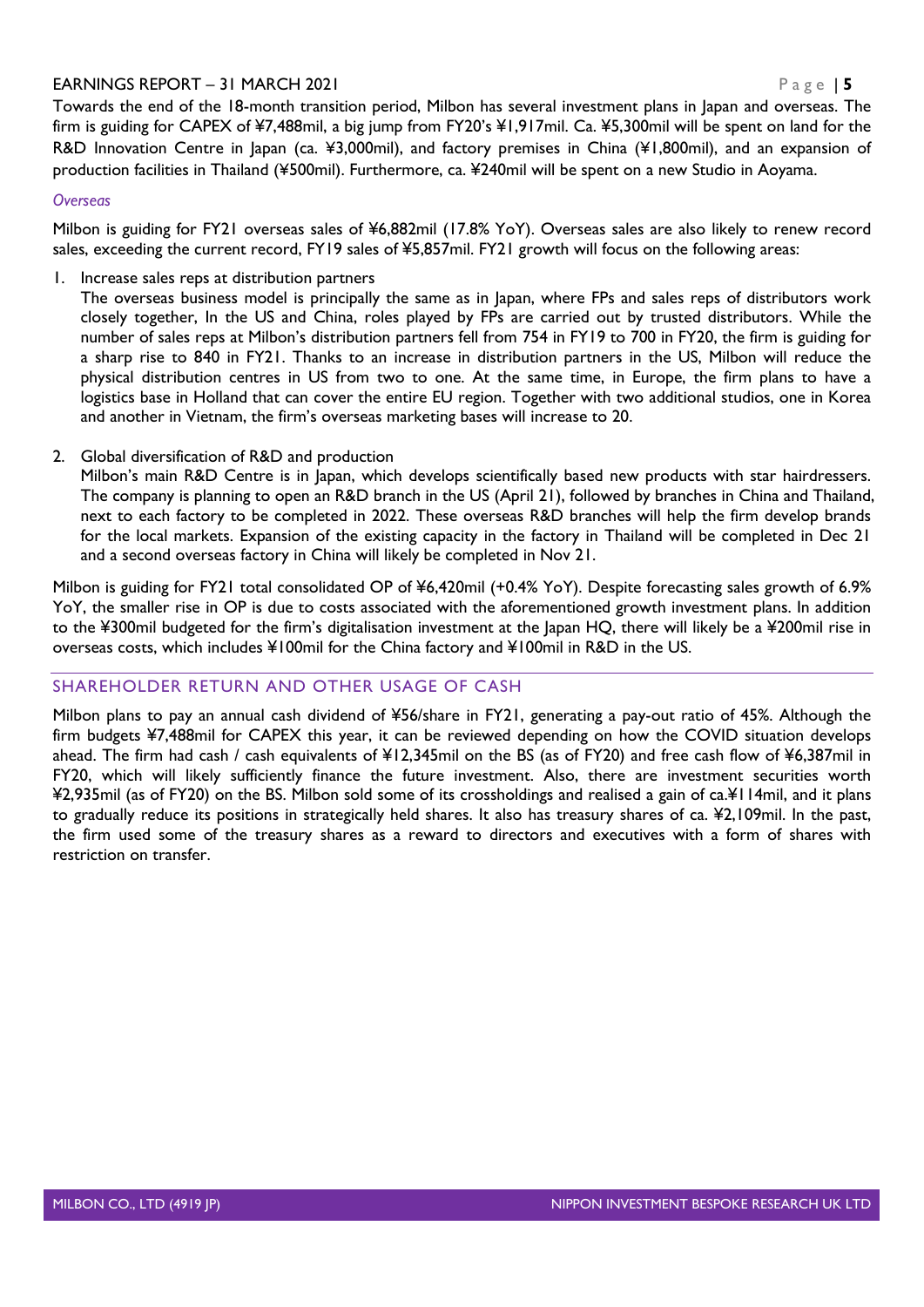Towards the end of the 18-month transition period, Milbon has several investment plans in Japan and overseas. The firm is guiding for CAPEX of ¥7,488mil, a big jump from FY20's ¥1,917mil. Ca. ¥5,300mil will be spent on land for the R&D Innovation Centre in Japan (ca. ¥3,000mil), and factory premises in China (¥1,800mil), and an expansion of production facilities in Thailand (¥500mil). Furthermore, ca. ¥240mil will be spent on a new Studio in Aoyama.

### *Overseas*

Milbon is guiding for FY21 overseas sales of ¥6,882mil (17.8% YoY). Overseas sales are also likely to renew record sales, exceeding the current record, FY19 sales of ¥5,857mil. FY21 growth will focus on the following areas:

1. Increase sales reps at distribution partners

The overseas business model is principally the same as in Japan, where FPs and sales reps of distributors work closely together, In the US and China, roles played by FPs are carried out by trusted distributors. While the number of sales reps at Milbon's distribution partners fell from 754 in FY19 to 700 in FY20, the firm is guiding for a sharp rise to 840 in FY21. Thanks to an increase in distribution partners in the US, Milbon will reduce the physical distribution centres in US from two to one. At the same time, in Europe, the firm plans to have a logistics base in Holland that can cover the entire EU region. Together with two additional studios, one in Korea and another in Vietnam, the firm's overseas marketing bases will increase to 20.

2. Global diversification of R&D and production

Milbon's main R&D Centre is in Japan, which develops scientifically based new products with star hairdressers. The company is planning to open an R&D branch in the US (April 21), followed by branches in China and Thailand, next to each factory to be completed in 2022. These overseas R&D branches will help the firm develop brands for the local markets. Expansion of the existing capacity in the factory in Thailand will be completed in Dec 21 and a second overseas factory in China will likely be completed in Nov 21.

Milbon is guiding for FY21 total consolidated OP of ¥6,420mil (+0.4% YoY). Despite forecasting sales growth of 6.9% YoY, the smaller rise in OP is due to costs associated with the aforementioned growth investment plans. In addition to the ¥300mil budgeted for the firm's digitalisation investment at the Japan HQ, there will likely be a ¥200mil rise in overseas costs, which includes ¥100mil for the China factory and ¥100mil in R&D in the US.

### SHAREHOLDER RETURN AND OTHER USAGE OF CASH

Milbon plans to pay an annual cash dividend of ¥56/share in FY21, generating a pay-out ratio of 45%. Although the firm budgets ¥7,488mil for CAPEX this year, it can be reviewed depending on how the COVID situation develops ahead. The firm had cash / cash equivalents of ¥12,345mil on the BS (as of FY20) and free cash flow of ¥6,387mil in FY20, which will likely sufficiently finance the future investment. Also, there are investment securities worth ¥2,935mil (as of FY20) on the BS. Milbon sold some of its crossholdings and realised a gain of ca.¥114mil, and it plans to gradually reduce its positions in strategically held shares. It also has treasury shares of ca. ¥2,109mil. In the past, the firm used some of the treasury shares as a reward to directors and executives with a form of shares with restriction on transfer.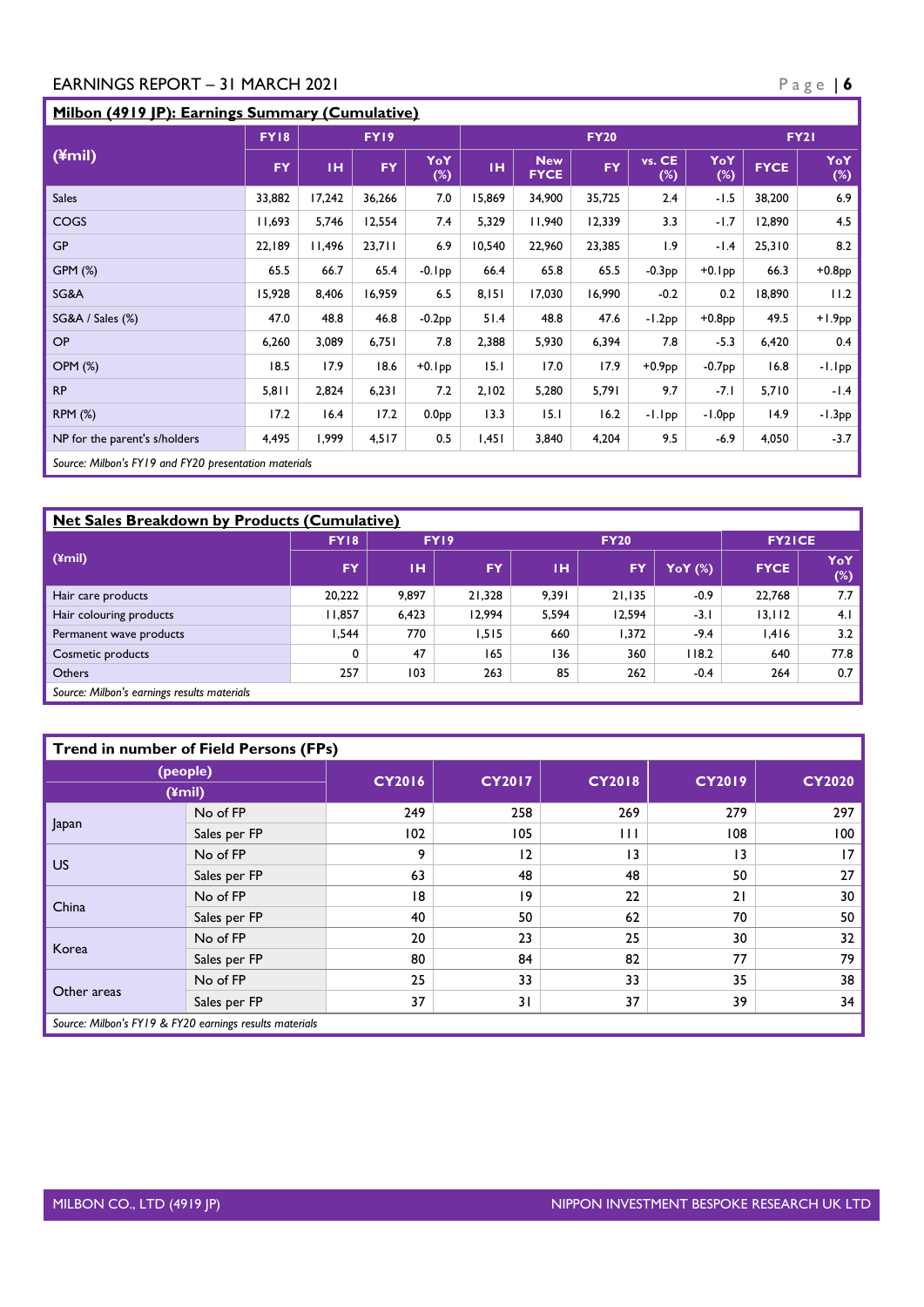# **Milbon (4919 JP): Earnings Summary (Cumulative)**

|                                                       | <b>FY18</b> | FY19   |           |                   | <b>FY20</b> |                           |           |                  |               | <b>FY21</b> |               |
|-------------------------------------------------------|-------------|--------|-----------|-------------------|-------------|---------------------------|-----------|------------------|---------------|-------------|---------------|
| (4mi)                                                 | <b>FY</b>   | TH.    | <b>FY</b> | YoY<br>$(\%)$     | TH.         | <b>New</b><br><b>FYCE</b> | <b>FY</b> | vs. CE<br>$(\%)$ | YoY<br>$(\%)$ | <b>FYCE</b> | YoY<br>$(\%)$ |
| <b>Sales</b>                                          | 33,882      | 17,242 | 36,266    | 7.0               | 15,869      | 34,900                    | 35,725    | 2.4              | $-1.5$        | 38,200      | 6.9           |
| COGS                                                  | 11,693      | 5,746  | 12,554    | 7.4               | 5,329       | 11,940                    | 12,339    | 3.3              | $-1.7$        | 12,890      | 4.5           |
| <b>GP</b>                                             | 22,189      | 11,496 | 23,711    | 6.9               | 10,540      | 22,960                    | 23,385    | 1.9              | $-1.4$        | 25,310      | 8.2           |
| GPM (%)                                               | 65.5        | 66.7   | 65.4      | $-0.1$ pp         | 66.4        | 65.8                      | 65.5      | $-0.3PP$         | $+0.1$ pp     | 66.3        | $+0.8PP$      |
| SG&A                                                  | 15,928      | 8,406  | 16,959    | 6.5               | 8,151       | 17,030                    | 16,990    | $-0.2$           | 0.2           | 18,890      | 11.2          |
| SG&A / Sales (%)                                      | 47.0        | 48.8   | 46.8      | $-0.2PP$          | 51.4        | 48.8                      | 47.6      | $-1.2PP$         | $+0.8$ pp     | 49.5        | $+1.9PP$      |
| <b>OP</b>                                             | 6,260       | 3,089  | 6,751     | 7.8               | 2,388       | 5,930                     | 6,394     | 7.8              | $-5.3$        | 6,420       | 0.4           |
| <b>OPM (%)</b>                                        | 18.5        | 17.9   | 18.6      | $+0.1$ pp         | 15.1        | 17.0                      | 17.9      | $+0.9PP$         | $-0.7PP$      | 16.8        | $-1.1$ pp     |
| <b>RP</b>                                             | 5,811       | 2,824  | 6,231     | 7.2               | 2,102       | 5,280                     | 5,791     | 9.7              | $-7.1$        | 5,710       | $-1.4$        |
| <b>RPM (%)</b>                                        | 17.2        | 16.4   | 17.2      | 0.0 <sub>PP</sub> | 13.3        | 15.1                      | 16.2      | -I.Ipp           | $-1.0PP$      | 14.9        | $-1.3PP$      |
| NP for the parent's s/holders                         | 4,495       | 1,999  | 4,517     | 0.5               | 1,451       | 3,840                     | 4,204     | 9.5              | $-6.9$        | 4,050       | $-3.7$        |
| Source: Milbon's FY19 and FY20 presentation materials |             |        |           |                   |             |                           |           |                  |               |             |               |

| <b>Net Sales Breakdown by Products (Cumulative)</b> |             |       |           |       |               |                |             |               |  |  |  |
|-----------------------------------------------------|-------------|-------|-----------|-------|---------------|----------------|-------------|---------------|--|--|--|
|                                                     | <b>FY18</b> |       | FY19      |       | <b>FY2ICE</b> |                |             |               |  |  |  |
| $(\text{ymin})$                                     | FY.         | ін    | <b>FY</b> | тн    | FY            | <b>YoY</b> (%) | <b>FYCE</b> | YoY<br>$(\%)$ |  |  |  |
| Hair care products                                  | 20,222      | 9.897 | 21.328    | 9.391 | 21.135        | -0.9           | 22.768      | 7.7           |  |  |  |
| Hair colouring products                             | 1.857       | 6,423 | 12.994    | 5,594 | 12.594        | $-3.1$         | 13, 112     | 4.1           |  |  |  |
| Permanent wave products                             | 544. ا      | 770   | .515      | 660   | 1,372         | $-9.4$         | 1,416       | 3.2           |  |  |  |
| Cosmetic products                                   | 0           | 47    | 165       | 136   | 360           | 118.2          | 640         | 77.8          |  |  |  |
| <b>Others</b>                                       | 257         | 103   | 263       | 85    | 262           | $-0.4$         | 264         | 0.7           |  |  |  |
| Source: Milbon's earnings results materials         |             |       |           |       |               |                |             |               |  |  |  |

| <b>Trend in number of Field Persons (FPs)</b> |                                                         |               |               |                 |               |               |  |  |  |
|-----------------------------------------------|---------------------------------------------------------|---------------|---------------|-----------------|---------------|---------------|--|--|--|
| (people)<br>$(4$ mil $)$                      |                                                         | <b>CY2016</b> | <b>CY2017</b> | <b>CY2018</b>   | <b>CY2019</b> | <b>CY2020</b> |  |  |  |
|                                               | No of FP                                                | 249           | 258           | 269             | 279           | 297           |  |  |  |
| Japan                                         | Sales per FP                                            | 102           | 105           | Ш               | 108           | 100           |  |  |  |
|                                               | No of FP                                                | 9             | 12            | $\overline{13}$ | 13            | 17            |  |  |  |
| US.                                           | Sales per FP                                            | 63            | 48            | 48              | 50            | 27            |  |  |  |
| China                                         | No of FP                                                | 18            | 19            | 22              | 21            | 30            |  |  |  |
|                                               | Sales per FP                                            | 40            | 50            | 62              | 70            | 50            |  |  |  |
| Korea                                         | No of FP                                                | 20            | 23            | 25              | 30            | 32            |  |  |  |
|                                               | Sales per FP                                            | 80            | 84            | 82              | 77            | 79            |  |  |  |
| Other areas                                   | No of FP                                                | 25            | 33            | 33              | 35            | 38            |  |  |  |
|                                               | Sales per FP                                            | 37            | 31            | 37              | 39            | 34            |  |  |  |
|                                               | Source: Milbon's FY19 & FY20 earnings results materials |               |               |                 |               |               |  |  |  |